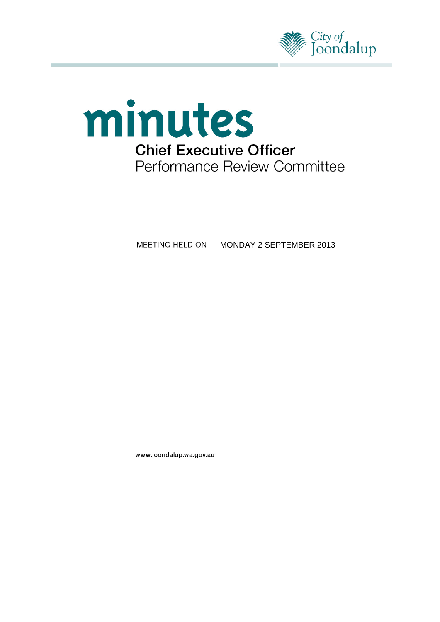



MEETING HELD ON MONDAY 2 SEPTEMBER 2013

www.joondalup.wa.gov.au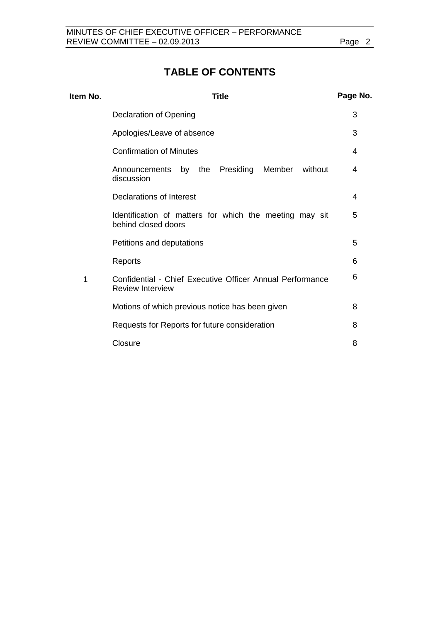# **TABLE OF CONTENTS**

| Item No. | Page No.<br><b>Title</b>                                                             |   |
|----------|--------------------------------------------------------------------------------------|---|
|          | Declaration of Opening                                                               | 3 |
|          | Apologies/Leave of absence                                                           | 3 |
|          | <b>Confirmation of Minutes</b>                                                       | 4 |
|          | Announcements by the Presiding<br>Member<br>without<br>discussion                    | 4 |
|          | <b>Declarations of Interest</b>                                                      | 4 |
|          | Identification of matters for which the meeting may sit<br>behind closed doors       | 5 |
|          | Petitions and deputations                                                            | 5 |
|          | Reports                                                                              | 6 |
| 1        | Confidential - Chief Executive Officer Annual Performance<br><b>Review Interview</b> | 6 |
|          | Motions of which previous notice has been given                                      | 8 |
|          | Requests for Reports for future consideration                                        | 8 |
|          | Closure                                                                              | 8 |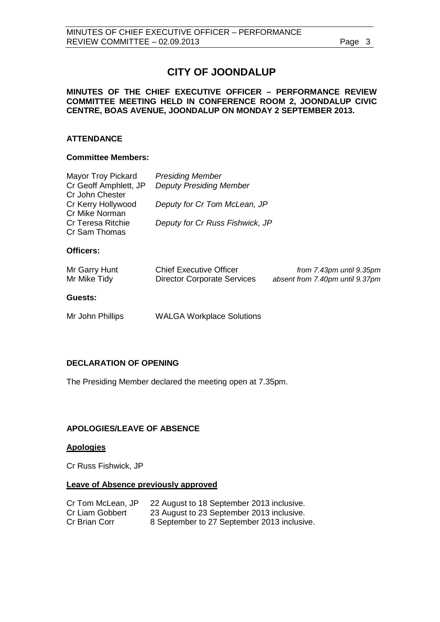# **CITY OF JOONDALUP**

### **MINUTES OF THE CHIEF EXECUTIVE OFFICER – PERFORMANCE REVIEW COMMITTEE MEETING HELD IN CONFERENCE ROOM 2, JOONDALUP CIVIC CENTRE, BOAS AVENUE, JOONDALUP ON MONDAY 2 SEPTEMBER 2013.**

## **ATTENDANCE**

### **Committee Members:**

| Mayor Troy Pickard<br>Cr Geoff Amphlett, JP<br>Cr John Chester | <b>Presiding Member</b><br><b>Deputy Presiding Member</b>            |                                                             |
|----------------------------------------------------------------|----------------------------------------------------------------------|-------------------------------------------------------------|
| Cr Kerry Hollywood<br>Cr Mike Norman                           | Deputy for Cr Tom McLean, JP                                         |                                                             |
| Cr Teresa Ritchie<br>Cr Sam Thomas                             | Deputy for Cr Russ Fishwick, JP                                      |                                                             |
| Officers:                                                      |                                                                      |                                                             |
| Mr Garry Hunt<br>Mr Mike Tidy                                  | <b>Chief Executive Officer</b><br><b>Director Corporate Services</b> | from 7.43pm until 9.35pm<br>absent from 7.40pm until 9.37pm |
| Guests:                                                        |                                                                      |                                                             |

Mr John Phillips WALGA Workplace Solutions

# <span id="page-2-0"></span>**DECLARATION OF OPENING**

The Presiding Member declared the meeting open at 7.35pm.

# <span id="page-2-1"></span>**APOLOGIES/LEAVE OF ABSENCE**

### **Apologies**

Cr Russ Fishwick, JP

# **Leave of Absence previously approved**

| Cr Tom McLean, JP | 22 August to 18 September 2013 inclusive.   |
|-------------------|---------------------------------------------|
| Cr Liam Gobbert   | 23 August to 23 September 2013 inclusive.   |
| Cr Brian Corr     | 8 September to 27 September 2013 inclusive. |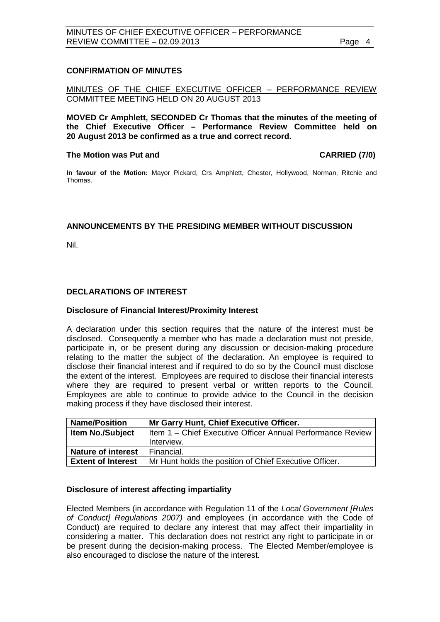### <span id="page-3-0"></span>**CONFIRMATION OF MINUTES**

MINUTES OF THE CHIEF EXECUTIVE OFFICER – PERFORMANCE REVIEW COMMITTEE MEETING HELD ON 20 AUGUST 2013

**MOVED Cr Amphlett, SECONDED Cr Thomas that the minutes of the meeting of the Chief Executive Officer – Performance Review Committee held on 20 August 2013 be confirmed as a true and correct record.**

#### The Motion was Put and **CARRIED** (7/0)

**In favour of the Motion:** Mayor Pickard, Crs Amphlett, Chester, Hollywood, Norman, Ritchie and Thomas.

### <span id="page-3-1"></span>**ANNOUNCEMENTS BY THE PRESIDING MEMBER WITHOUT DISCUSSION**

Nil.

### <span id="page-3-2"></span>**DECLARATIONS OF INTEREST**

#### **Disclosure of Financial Interest/Proximity Interest**

A declaration under this section requires that the nature of the interest must be disclosed. Consequently a member who has made a declaration must not preside, participate in, or be present during any discussion or decision-making procedure relating to the matter the subject of the declaration. An employee is required to disclose their financial interest and if required to do so by the Council must disclose the extent of the interest. Employees are required to disclose their financial interests where they are required to present verbal or written reports to the Council. Employees are able to continue to provide advice to the Council in the decision making process if they have disclosed their interest.

| <b>Name/Position</b>      | Mr Garry Hunt, Chief Executive Officer.                    |
|---------------------------|------------------------------------------------------------|
| <b>Item No./Subject</b>   | Item 1 - Chief Executive Officer Annual Performance Review |
|                           | Interview.                                                 |
| <b>Nature of interest</b> | Financial.                                                 |
| <b>Extent of Interest</b> | Mr Hunt holds the position of Chief Executive Officer.     |

#### **Disclosure of interest affecting impartiality**

Elected Members (in accordance with Regulation 11 of the *Local Government [Rules of Conduct] Regulations 2007)* and employees (in accordance with the Code of Conduct) are required to declare any interest that may affect their impartiality in considering a matter. This declaration does not restrict any right to participate in or be present during the decision-making process. The Elected Member/employee is also encouraged to disclose the nature of the interest.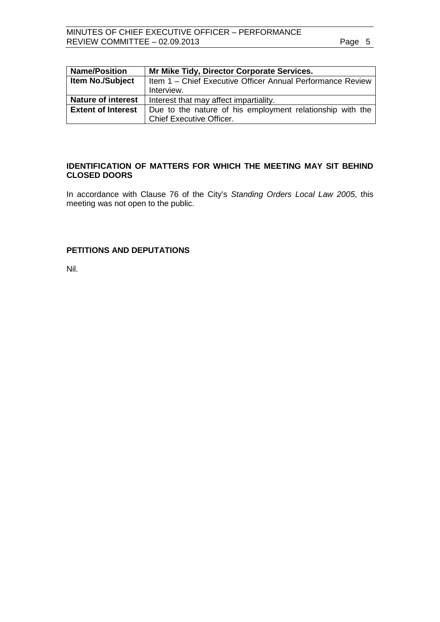| <b>Name/Position</b>      | Mr Mike Tidy, Director Corporate Services.                 |
|---------------------------|------------------------------------------------------------|
| <b>Item No./Subject</b>   | Item 1 - Chief Executive Officer Annual Performance Review |
|                           | Interview.                                                 |
| <b>Nature of interest</b> | Interest that may affect impartiality.                     |
| <b>Extent of Interest</b> | Due to the nature of his employment relationship with the  |
|                           | <b>Chief Executive Officer.</b>                            |

# <span id="page-4-0"></span>**IDENTIFICATION OF MATTERS FOR WHICH THE MEETING MAY SIT BEHIND CLOSED DOORS**

In accordance with Clause 76 of the City's *Standing Orders Local Law 2005*, this meeting was not open to the public.

# <span id="page-4-1"></span>**PETITIONS AND DEPUTATIONS**

Nil.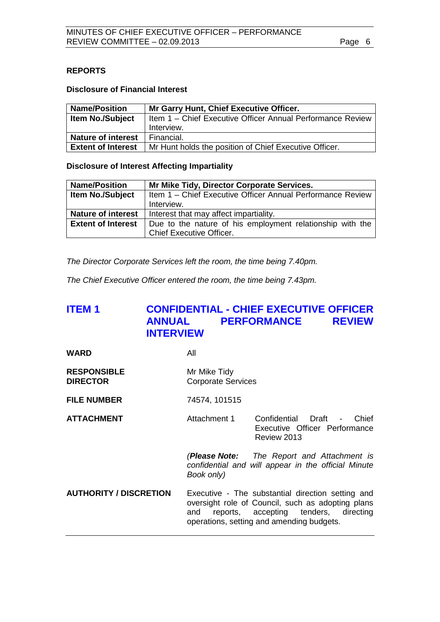# <span id="page-5-0"></span>**REPORTS**

#### **Disclosure of Financial Interest**

| <b>Name/Position</b>      | Mr Garry Hunt, Chief Executive Officer.                    |
|---------------------------|------------------------------------------------------------|
| <b>Item No./Subject</b>   | Item 1 - Chief Executive Officer Annual Performance Review |
|                           | Interview.                                                 |
| <b>Nature of interest</b> | Financial.                                                 |
| <b>Extent of Interest</b> | Mr Hunt holds the position of Chief Executive Officer.     |

## **Disclosure of Interest Affecting Impartiality**

| <b>Name/Position</b>      | Mr Mike Tidy, Director Corporate Services.                 |
|---------------------------|------------------------------------------------------------|
| <b>Item No./Subject</b>   | Item 1 - Chief Executive Officer Annual Performance Review |
|                           | Interview.                                                 |
| <b>Nature of interest</b> | Interest that may affect impartiality.                     |
| <b>Extent of Interest</b> | Due to the nature of his employment relationship with the  |
|                           | <b>Chief Executive Officer.</b>                            |

*The Director Corporate Services left the room, the time being 7.40pm.*

*The Chief Executive Officer entered the room, the time being 7.43pm.* 

# <span id="page-5-1"></span>**ITEM 1 CONFIDENTIAL - CHIEF EXECUTIVE OFFICER ANNUAL PERFORMANCE REVIEW INTERVIEW**

**WARD** All

- **RESPONSIBLE** Mr Mike Tidy<br> **DIRECTOR** Corporate Se **Corporate Services**
- **FILE NUMBER** 74574, 101515
- **ATTACHMENT Attachment 1** Confidential Draft Chief Executive Officer Performance Review 2013

*(Please Note: The Report and Attachment is confidential and will appear in the official Minute Book only)*

**AUTHORITY / DISCRETION** Executive - The substantial direction setting and oversight role of Council, such as adopting plans and reports, accepting tenders, directing operations, setting and amending budgets.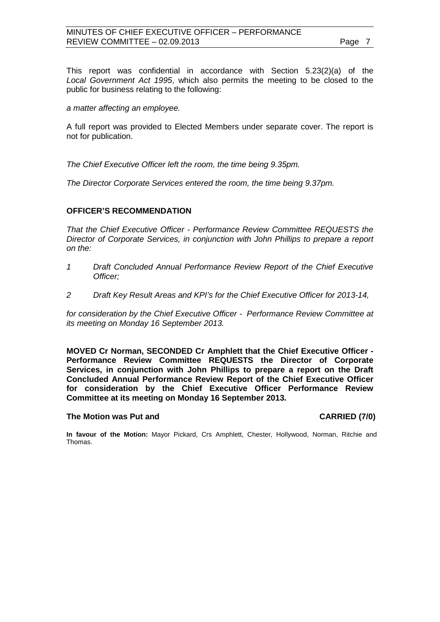This report was confidential in accordance with Section 5.23(2)(a) of the *Local Government Act 1995*, which also permits the meeting to be closed to the public for business relating to the following:

*a matter affecting an employee.*

A full report was provided to Elected Members under separate cover. The report is not for publication.

*The Chief Executive Officer left the room, the time being 9.35pm.*

*The Director Corporate Services entered the room, the time being 9.37pm.*

### **OFFICER'S RECOMMENDATION**

*That the Chief Executive Officer - Performance Review Committee REQUESTS the Director of Corporate Services, in conjunction with John Phillips to prepare a report on the:*

- *1 Draft Concluded Annual Performance Review Report of the Chief Executive Officer;*
- *2 Draft Key Result Areas and KPI's for the Chief Executive Officer for 2013-14,*

*for consideration by the Chief Executive Officer - Performance Review Committee at its meeting on Monday 16 September 2013.*

**MOVED Cr Norman, SECONDED Cr Amphlett that the Chief Executive Officer - Performance Review Committee REQUESTS the Director of Corporate Services, in conjunction with John Phillips to prepare a report on the Draft Concluded Annual Performance Review Report of the Chief Executive Officer for consideration by the Chief Executive Officer Performance Review Committee at its meeting on Monday 16 September 2013.**

#### **The Motion was Put and CARRIED (7/0)**

**In favour of the Motion:** Mayor Pickard, Crs Amphlett, Chester, Hollywood, Norman, Ritchie and Thomas.